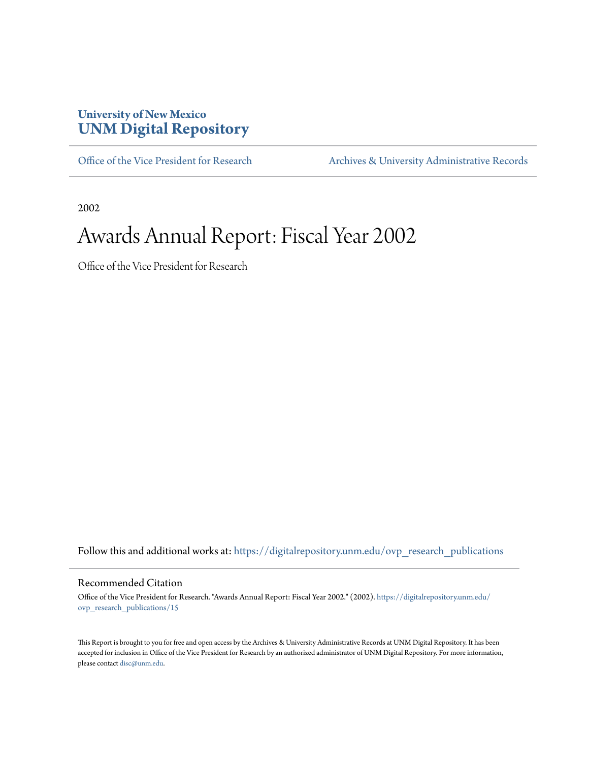#### **University of New Mexico [UNM Digital Repository](https://digitalrepository.unm.edu?utm_source=digitalrepository.unm.edu%2Fovp_research_publications%2F15&utm_medium=PDF&utm_campaign=PDFCoverPages)**

[Office of the Vice President for Research](https://digitalrepository.unm.edu/ovp_research_publications?utm_source=digitalrepository.unm.edu%2Fovp_research_publications%2F15&utm_medium=PDF&utm_campaign=PDFCoverPages) [Archives & University Administrative Records](https://digitalrepository.unm.edu/archives?utm_source=digitalrepository.unm.edu%2Fovp_research_publications%2F15&utm_medium=PDF&utm_campaign=PDFCoverPages)

2002

### Awards Annual Report: Fiscal Year 2002

Office of the Vice President for Research

Follow this and additional works at: [https://digitalrepository.unm.edu/ovp\\_research\\_publications](https://digitalrepository.unm.edu/ovp_research_publications?utm_source=digitalrepository.unm.edu%2Fovp_research_publications%2F15&utm_medium=PDF&utm_campaign=PDFCoverPages)

#### Recommended Citation

Office of the Vice President for Research. "Awards Annual Report: Fiscal Year 2002." (2002). [https://digitalrepository.unm.edu/](https://digitalrepository.unm.edu/ovp_research_publications/15?utm_source=digitalrepository.unm.edu%2Fovp_research_publications%2F15&utm_medium=PDF&utm_campaign=PDFCoverPages) [ovp\\_research\\_publications/15](https://digitalrepository.unm.edu/ovp_research_publications/15?utm_source=digitalrepository.unm.edu%2Fovp_research_publications%2F15&utm_medium=PDF&utm_campaign=PDFCoverPages)

This Report is brought to you for free and open access by the Archives & University Administrative Records at UNM Digital Repository. It has been accepted for inclusion in Office of the Vice President for Research by an authorized administrator of UNM Digital Repository. For more information, please contact [disc@unm.edu.](mailto:disc@unm.edu)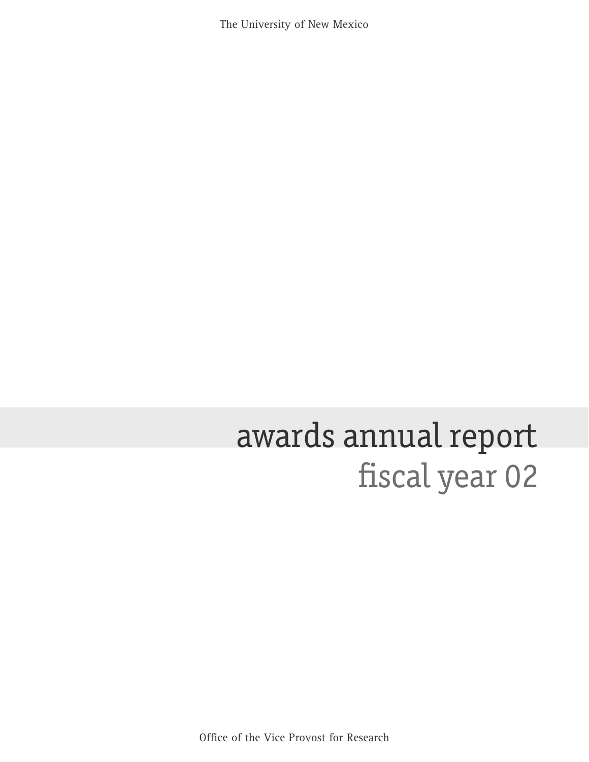The University of New Mexico

# fiscal year 02 awards annual report

Office of the Vice Provost for Research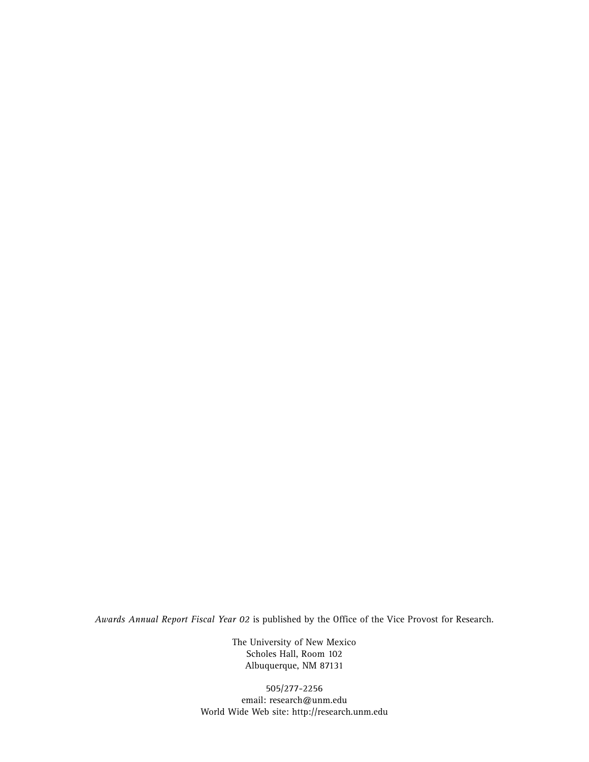*Awards Annual Report Fiscal Year 02* is published by the Office of the Vice Provost for Research.

The University of New Mexico Scholes Hall, Room 102 Albuquerque, NM 87131

505/277-2256 email: research@unm.edu World Wide Web site: http://research.unm.edu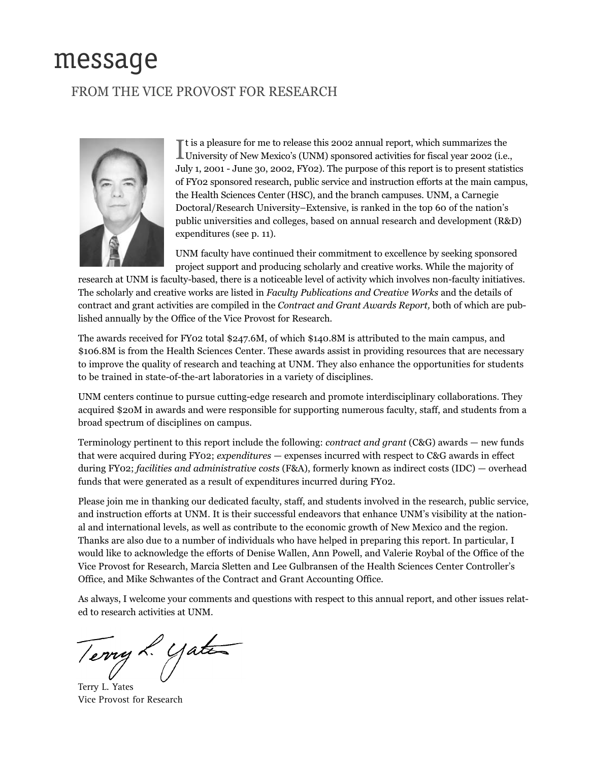### message

#### FROM THE VICE PROVOST FOR RESEARCH



It is a pleasure for me to release this 2002 annual report, which summarizes the University of New Mexico's (UNM) sponsored activities for fiscal year 2002 (i.e.,  $\mathbb T$ t is a pleasure for me to release this 2002 annual report, which summarizes the July 1, 2001 - June 30, 2002, FY02). The purpose of this report is to present statistics of FY02 sponsored research, public service and instruction efforts at the main campus, the Health Sciences Center (HSC), and the branch campuses. UNM, a Carnegie Doctoral/Research University–Extensive, is ranked in the top 60 of the nation's public universities and colleges, based on annual research and development (R&D) expenditures (see p. 11).

UNM faculty have continued their commitment to excellence by seeking sponsored project support and producing scholarly and creative works. While the majority of

research at UNM is faculty-based, there is a noticeable level of activity which involves non-faculty initiatives. The scholarly and creative works are listed in *Faculty Publications and Creative Works* and the details of contract and grant activities are compiled in the *Contract and Grant Awards Report,* both of which are published annually by the Office of the Vice Provost for Research.

The awards received for FY02 total \$247.6M, of which \$140.8M is attributed to the main campus, and \$106.8M is from the Health Sciences Center. These awards assist in providing resources that are necessary to improve the quality of research and teaching at UNM. They also enhance the opportunities for students to be trained in state-of-the-art laboratories in a variety of disciplines.

UNM centers continue to pursue cutting-edge research and promote interdisciplinary collaborations. They acquired \$20M in awards and were responsible for supporting numerous faculty, staff, and students from a broad spectrum of disciplines on campus.

Terminology pertinent to this report include the following: *contract and grant* (C&G) awards — new funds that were acquired during FY02; *expenditures* — expenses incurred with respect to C&G awards in effect during FY02; *facilities and administrative costs* (F&A), formerly known as indirect costs (IDC) — overhead funds that were generated as a result of expenditures incurred during FY02.

Please join me in thanking our dedicated faculty, staff, and students involved in the research, public service, and instruction efforts at UNM. It is their successful endeavors that enhance UNM's visibility at the national and international levels, as well as contribute to the economic growth of New Mexico and the region. Thanks are also due to a number of individuals who have helped in preparing this report. In particular, I would like to acknowledge the efforts of Denise Wallen, Ann Powell, and Valerie Roybal of the Office of the Vice Provost for Research, Marcia Sletten and Lee Gulbransen of the Health Sciences Center Controller's Office, and Mike Schwantes of the Contract and Grant Accounting Office.

As always, I welcome your comments and questions with respect to this annual report, and other issues related to research activities at UNM.

Terry L. Yater

Terry L. Yates Vice Provost for Research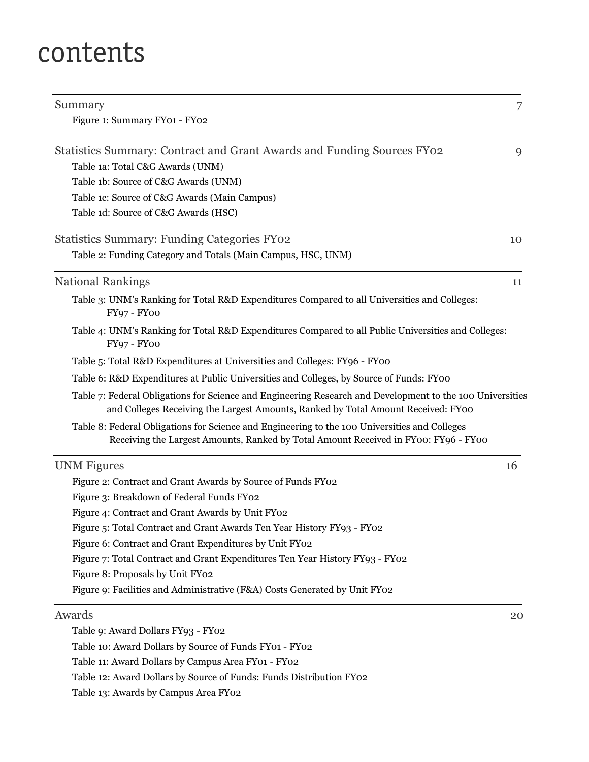### contents

| Summary                                                                                                                                                                                        | 7  |
|------------------------------------------------------------------------------------------------------------------------------------------------------------------------------------------------|----|
| Figure 1: Summary FY01 - FY02                                                                                                                                                                  |    |
| Statistics Summary: Contract and Grant Awards and Funding Sources FY02                                                                                                                         | 9  |
| Table 1a: Total C&G Awards (UNM)                                                                                                                                                               |    |
| Table 1b: Source of C&G Awards (UNM)                                                                                                                                                           |    |
| Table 1c: Source of C&G Awards (Main Campus)                                                                                                                                                   |    |
| Table 1d: Source of C&G Awards (HSC)                                                                                                                                                           |    |
| <b>Statistics Summary: Funding Categories FY02</b>                                                                                                                                             | 10 |
| Table 2: Funding Category and Totals (Main Campus, HSC, UNM)                                                                                                                                   |    |
| <b>National Rankings</b>                                                                                                                                                                       | 11 |
| Table 3: UNM's Ranking for Total R&D Expenditures Compared to all Universities and Colleges:<br>FY97 - FY00                                                                                    |    |
| Table 4: UNM's Ranking for Total R&D Expenditures Compared to all Public Universities and Colleges:<br>FY97 - FY00                                                                             |    |
| Table 5: Total R&D Expenditures at Universities and Colleges: FY96 - FY00                                                                                                                      |    |
| Table 6: R&D Expenditures at Public Universities and Colleges, by Source of Funds: FY00                                                                                                        |    |
| Table 7: Federal Obligations for Science and Engineering Research and Development to the 100 Universities<br>and Colleges Receiving the Largest Amounts, Ranked by Total Amount Received: FY00 |    |
| Table 8: Federal Obligations for Science and Engineering to the 100 Universities and Colleges<br>Receiving the Largest Amounts, Ranked by Total Amount Received in FY00: FY96 - FY00           |    |
| <b>UNM</b> Figures                                                                                                                                                                             | 16 |
| Figure 2: Contract and Grant Awards by Source of Funds FY02                                                                                                                                    |    |
| Figure 3: Breakdown of Federal Funds FY02                                                                                                                                                      |    |
| Figure 4: Contract and Grant Awards by Unit FY02                                                                                                                                               |    |
| Figure 5: Total Contract and Grant Awards Ten Year History FY93 - FY02                                                                                                                         |    |
| Figure 6: Contract and Grant Expenditures by Unit FY02                                                                                                                                         |    |
| Figure 7: Total Contract and Grant Expenditures Ten Year History FY93 - FY02                                                                                                                   |    |
| Figure 8: Proposals by Unit FY02                                                                                                                                                               |    |
| Figure 9: Facilities and Administrative (F&A) Costs Generated by Unit FY02                                                                                                                     |    |
| Awards                                                                                                                                                                                         | 20 |
| Table 9: Award Dollars FY93 - FY02                                                                                                                                                             |    |
| Table 10: Award Dollars by Source of Funds FY01 - FY02                                                                                                                                         |    |
| Table 11: Award Dollars by Campus Area FY01 - FY02                                                                                                                                             |    |

Table 12: Award Dollars by Source of Funds: Funds Distribution FY02

Table 13: Awards by Campus Area FY02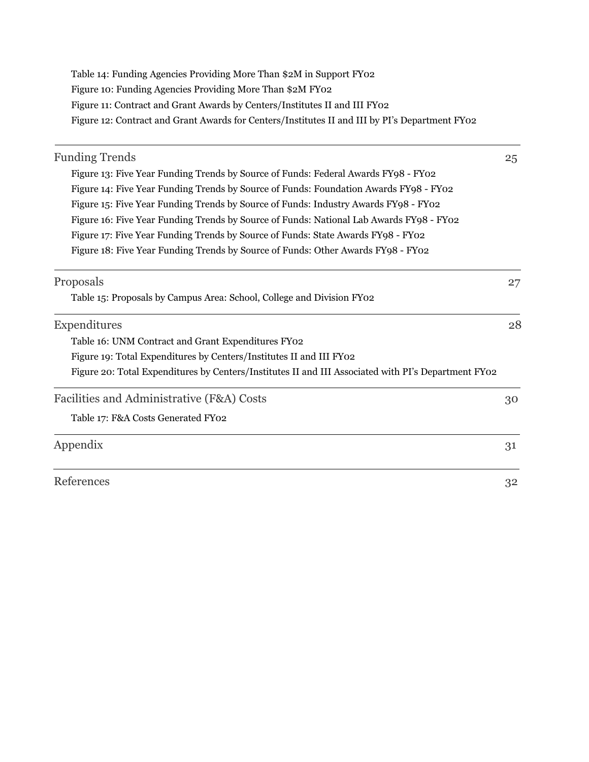| Table 14: Funding Agencies Providing More Than \$2M in Support FY02                            |
|------------------------------------------------------------------------------------------------|
| Figure 10: Funding Agencies Providing More Than \$2M FY02                                      |
| Figure 11: Contract and Grant Awards by Centers/Institutes II and III FY02                     |
| Figure 12: Contract and Grant Awards for Centers/Institutes II and III by PI's Department FY02 |

| <b>Funding Trends</b>                                                                               | 25 |
|-----------------------------------------------------------------------------------------------------|----|
| Figure 13: Five Year Funding Trends by Source of Funds: Federal Awards FY98 - FY02                  |    |
| Figure 14: Five Year Funding Trends by Source of Funds: Foundation Awards FY98 - FY02               |    |
| Figure 15: Five Year Funding Trends by Source of Funds: Industry Awards FY98 - FY02                 |    |
| Figure 16: Five Year Funding Trends by Source of Funds: National Lab Awards FY98 - FY02             |    |
| Figure 17: Five Year Funding Trends by Source of Funds: State Awards FY98 - FY02                    |    |
| Figure 18: Five Year Funding Trends by Source of Funds: Other Awards FY98 - FY02                    |    |
| Proposals                                                                                           | 27 |
| Table 15: Proposals by Campus Area: School, College and Division FY02                               |    |
| Expenditures                                                                                        | 28 |
| Table 16: UNM Contract and Grant Expenditures FY02                                                  |    |
| Figure 19: Total Expenditures by Centers/Institutes II and III FY02                                 |    |
| Figure 20: Total Expenditures by Centers/Institutes II and III Associated with PI's Department FY02 |    |
| Facilities and Administrative (F&A) Costs                                                           | 30 |
| Table 17: F&A Costs Generated FY02                                                                  |    |
| Appendix                                                                                            | 31 |
| References                                                                                          | 32 |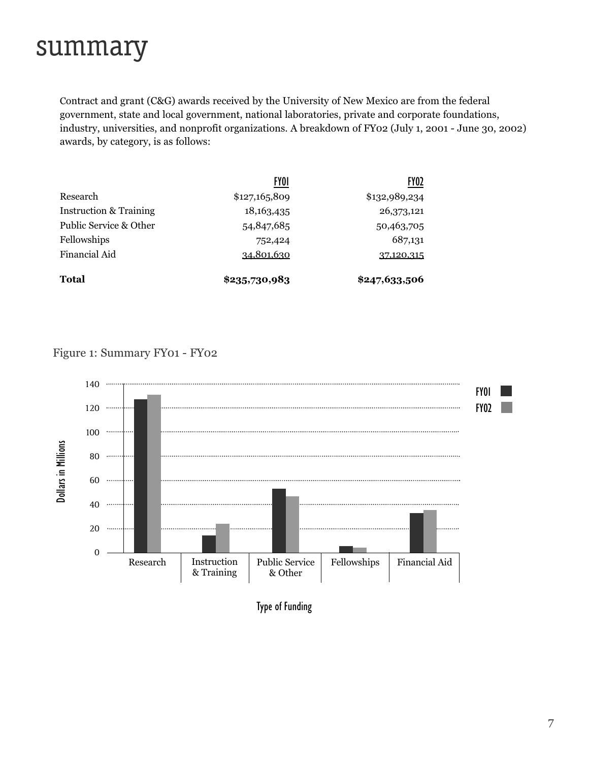### summary

Contract and grant (C&G) awards received by the University of New Mexico are from the federal government, state and local government, national laboratories, private and corporate foundations, industry, universities, and nonprofit organizations. A breakdown of FY02 (July 1, 2001 - June 30, 2002) awards, by category, is as follows:

|                                   | <b>FYOI</b>       | FY <sub>02</sub> |
|-----------------------------------|-------------------|------------------|
| Research                          | \$127,165,809     | \$132,989,234    |
| <b>Instruction &amp; Training</b> | 18, 163, 435      | 26,373,121       |
| Public Service & Other            | 54,847,685        | 50,463,705       |
| Fellowships                       | 752,424           | 687,131          |
| Financial Aid                     | <u>34,801,630</u> | 37,120,315       |
| Total                             | \$235,730,983     | \$247,633,506    |

#### Figure 1: Summary FY01 - FY02



Type of Funding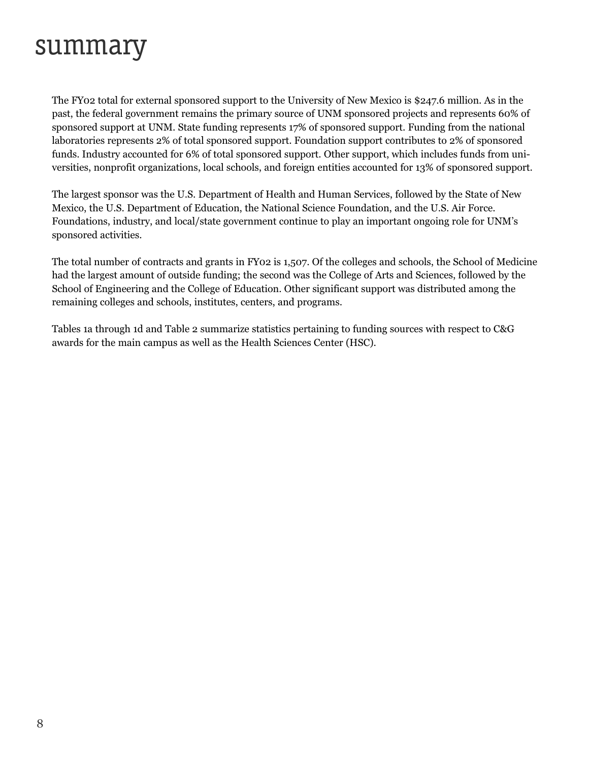### summary

The FY02 total for external sponsored support to the University of New Mexico is \$247.6 million. As in the past, the federal government remains the primary source of UNM sponsored projects and represents 60% of sponsored support at UNM. State funding represents 17% of sponsored support. Funding from the national laboratories represents 2% of total sponsored support. Foundation support contributes to 2% of sponsored funds. Industry accounted for 6% of total sponsored support. Other support, which includes funds from universities, nonprofit organizations, local schools, and foreign entities accounted for 13% of sponsored support.

The largest sponsor was the U.S. Department of Health and Human Services, followed by the State of New Mexico, the U.S. Department of Education, the National Science Foundation, and the U.S. Air Force. Foundations, industry, and local/state government continue to play an important ongoing role for UNM's sponsored activities.

The total number of contracts and grants in FY02 is 1,507. Of the colleges and schools, the School of Medicine had the largest amount of outside funding; the second was the College of Arts and Sciences, followed by the School of Engineering and the College of Education. Other significant support was distributed among the remaining colleges and schools, institutes, centers, and programs.

Tables 1a through 1d and Table 2 summarize statistics pertaining to funding sources with respect to C&G awards for the main campus as well as the Health Sciences Center (HSC).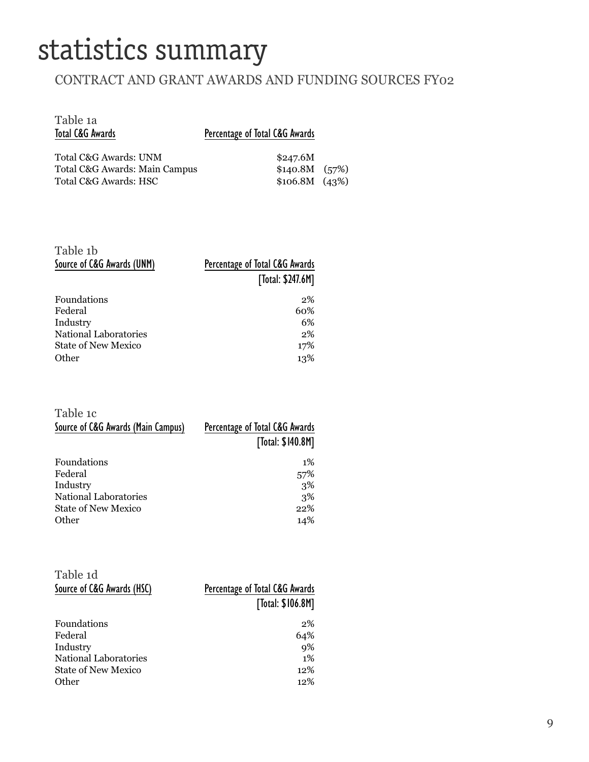### statistics summary

#### CONTRACT AND GRANT AWARDS AND FUNDING SOURCES FY02

| Table 1a<br>Total C&G Awards                                                    | Percentage of Total C&G Awards                      |  |
|---------------------------------------------------------------------------------|-----------------------------------------------------|--|
| Total C&G Awards: UNM<br>Total C&G Awards: Main Campus<br>Total C&G Awards: HSC | \$247.6M<br>\$140.8M (57%)<br>$$106.8M \quad (43%)$ |  |

| Table 1b<br>Source of C&G Awards (UNM) | Percentage of Total C&G Awards<br>[Total: \$247.6M] |
|----------------------------------------|-----------------------------------------------------|
| <b>Foundations</b>                     | 2%                                                  |
| Federal                                | 60%                                                 |
| Industry                               | 6%                                                  |
| National Laboratories                  | $2\%$                                               |
| State of New Mexico                    | 17%                                                 |
| Other                                  | 13%                                                 |

| Table 1c                           |                                |
|------------------------------------|--------------------------------|
| Source of C&G Awards (Main Campus) | Percentage of Total C&G Awards |
|                                    | [Total: \$140.8M]              |
| <b>Foundations</b>                 | $1\%$                          |
| Federal                            | 57%                            |
| Industry                           | 3%                             |
| <b>National Laboratories</b>       | 3%                             |
| <b>State of New Mexico</b>         | 22%                            |
| Other                              | 14%                            |

| Table 1d                   |                                |
|----------------------------|--------------------------------|
| Source of C&G Awards (HSC) | Percentage of Total C&G Awards |
|                            | [Total: \$106.8M]              |
| <b>Foundations</b>         | 2%                             |
| Federal                    | 64%                            |
| Industry                   | 9%                             |
| National Laboratories      | $1\%$                          |
| <b>State of New Mexico</b> | 12%                            |
| Other                      | 12%                            |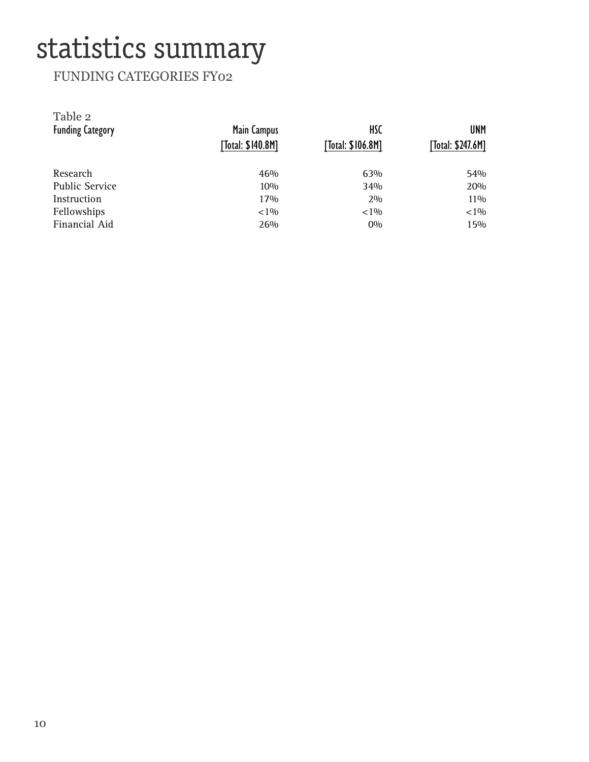## statistics summary

#### FUNDING CATEGORIES FY02

| Table 2<br><b>Funding Category</b> | Main Campus<br>[Total: \$140.8M] | <b>HSC</b><br>[Total: \$106.8M] | <b>UNM</b><br>[Total: \$247.6M] |
|------------------------------------|----------------------------------|---------------------------------|---------------------------------|
| Research                           | 46%                              | 63%                             | 54%                             |
| <b>Public Service</b>              | 10%                              | 34%                             | 20%                             |
| Instruction                        | 17%                              | 2%                              | 11\%                            |
| Fellowships                        | ${<}1\%$                         | ${<}1\%$                        | ${<}1\%$                        |
| Financial Aid                      | 26%                              | $0\%$                           | 15%                             |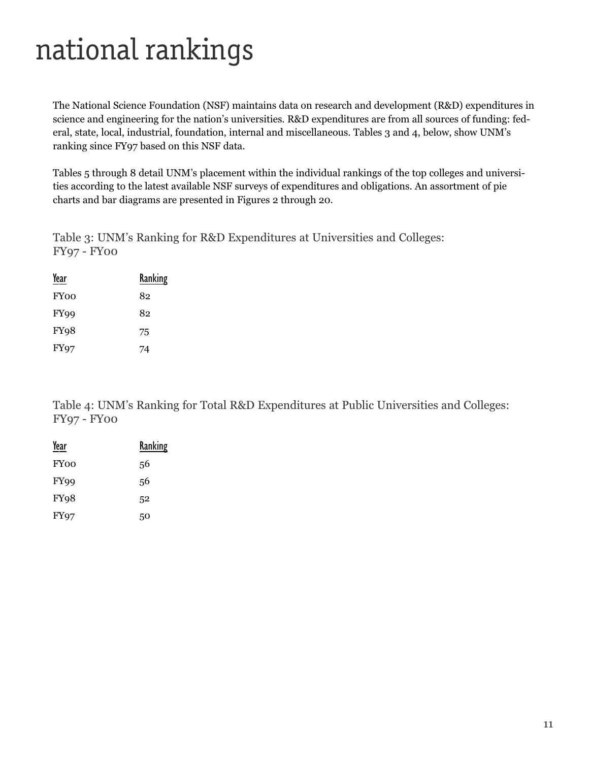## national rankings

The National Science Foundation (NSF) maintains data on research and development (R&D) expenditures in science and engineering for the nation's universities. R&D expenditures are from all sources of funding: federal, state, local, industrial, foundation, internal and miscellaneous. Tables 3 and 4, below, show UNM's ranking since FY97 based on this NSF data.

Tables 5 through 8 detail UNM's placement within the individual rankings of the top colleges and universities according to the latest available NSF surveys of expenditures and obligations. An assortment of pie charts and bar diagrams are presented in Figures 2 through 20.

Table 3: UNM's Ranking for R&D Expenditures at Universities and Colleges: FY97 - FY00

| Year             | Ranking |
|------------------|---------|
| <b>FY00</b>      | 82      |
| FY <sub>99</sub> | 82      |
| FY <sub>98</sub> | 75      |
| <b>FY97</b>      | 74      |

Table 4: UNM's Ranking for Total R&D Expenditures at Public Universities and Colleges: FY97 - FY00

| Year              | Ranking |
|-------------------|---------|
| <b>FY00</b>       | 56      |
| FY <sub>99</sub>  | 56      |
| FY <sub>9</sub> 8 | 52      |
| <b>FY97</b>       | 50      |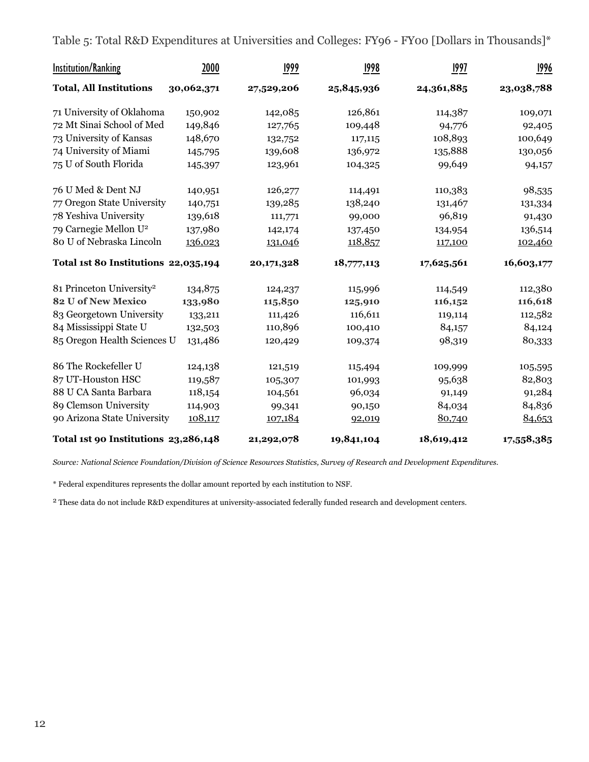Table 5: Total R&D Expenditures at Universities and Colleges: FY96 - FY00 [Dollars in Thousands]\*

| <b>Institution/Ranking</b>           | 2000       | <u>1999</u> | 1998       | 1997       | <u>1996</u> |
|--------------------------------------|------------|-------------|------------|------------|-------------|
| <b>Total, All Institutions</b>       | 30,062,371 | 27,529,206  | 25,845,936 | 24,361,885 | 23,038,788  |
| 71 University of Oklahoma            | 150,902    | 142,085     | 126,861    | 114,387    | 109,071     |
| 72 Mt Sinai School of Med            | 149,846    | 127,765     | 109,448    | 94,776     | 92,405      |
| 73 University of Kansas              | 148,670    | 132,752     | 117,115    | 108,893    | 100,649     |
| 74 University of Miami               | 145,795    | 139,608     | 136,972    | 135,888    | 130,056     |
| 75 U of South Florida                | 145,397    | 123,961     | 104,325    | 99,649     | 94,157      |
| 76 U Med & Dent NJ                   | 140,951    | 126,277     | 114,491    | 110,383    | 98,535      |
| 77 Oregon State University           | 140,751    | 139,285     | 138,240    | 131,467    | 131,334     |
| 78 Yeshiva University                | 139,618    | 111,771     | 99,000     | 96,819     | 91,430      |
| 79 Carnegie Mellon U <sup>2</sup>    | 137,980    | 142,174     | 137,450    | 134,954    | 136,514     |
| 80 U of Nebraska Lincoln             | 136,023    | 131,046     | 118,857    | 117,100    | 102,460     |
| Total 1st 80 Institutions 22,035,194 |            | 20,171,328  | 18,777,113 | 17,625,561 | 16,603,177  |
| 81 Princeton University <sup>2</sup> | 134,875    | 124,237     | 115,996    | 114,549    | 112,380     |
| <b>82 U of New Mexico</b>            | 133,980    | 115,850     | 125,910    | 116,152    | 116,618     |
| 83 Georgetown University             | 133,211    | 111,426     | 116,611    | 119,114    | 112,582     |
| 84 Mississippi State U               | 132,503    | 110,896     | 100,410    | 84,157     | 84,124      |
| 85 Oregon Health Sciences U          | 131,486    | 120,429     | 109,374    | 98,319     | 80,333      |
| 86 The Rockefeller U                 | 124,138    | 121,519     | 115,494    | 109,999    | 105,595     |
| 87 UT-Houston HSC                    | 119,587    | 105,307     | 101,993    | 95,638     | 82,803      |
| 88 U CA Santa Barbara                | 118,154    | 104,561     | 96,034     | 91,149     | 91,284      |
| 89 Clemson University                | 114,903    | 99,341      | 90,150     | 84,034     | 84,836      |
| 90 Arizona State University          | 108,117    | 107,184     | 92,019     | 80,740     | 84,653      |
| Total 1st 90 Institutions 23,286,148 |            | 21,292,078  | 19,841,104 | 18,619,412 | 17,558,385  |

*Source: National Science Foundation/Division of Science Resources Statistics, Survey of Research and Development Expenditures.*

\* Federal expenditures represents the dollar amount reported by each institution to NSF.

2 These data do not include R&D expenditures at university-associated federally funded research and development centers.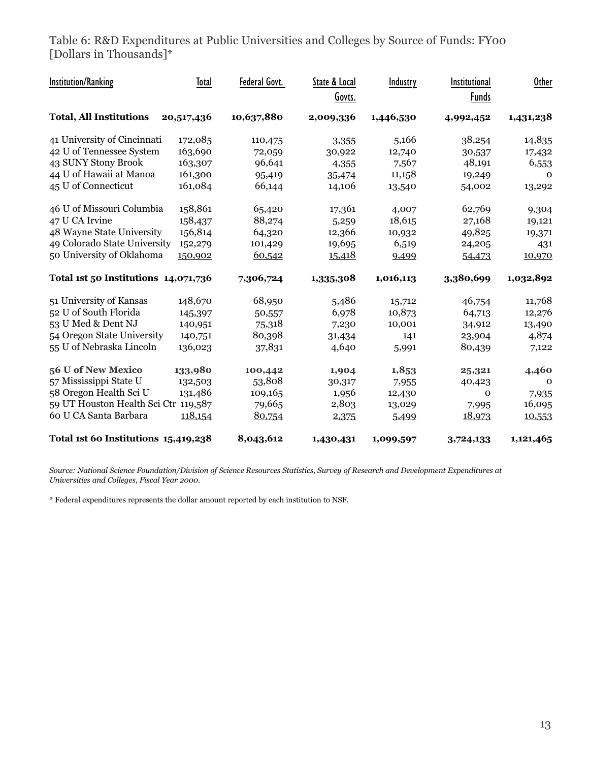Table 6: R&D Expenditures at Public Universities and Colleges by Source of Funds: FY00 [Dollars in Thousands]\*

| <b>Institution/Ranking</b>           | Total      | Federal Govt. | State & Local | Industry  | Institutional | <b>Other</b> |
|--------------------------------------|------------|---------------|---------------|-----------|---------------|--------------|
|                                      |            |               | Govts.        |           | <b>Funds</b>  |              |
| <b>Total, All Institutions</b>       | 20,517,436 | 10,637,880    | 2,009,336     | 1,446,530 | 4,992,452     | 1,431,238    |
| 41 University of Cincinnati          | 172,085    | 110,475       | 3,355         | 5,166     | 38,254        | 14,835       |
| 42 U of Tennessee System             | 163,690    | 72,059        | 30,922        | 12,740    | 30,537        | 17,432       |
| 43 SUNY Stony Brook                  | 163,307    | 96,641        | 4,355         | 7,567     | 48,191        | 6,553        |
| 44 U of Hawaii at Manoa              | 161,300    | 95,419        | 35,474        | 11,158    | 19,249        | $\Omega$     |
| 45 U of Connecticut                  | 161,084    | 66,144        | 14,106        | 13,540    | 54,002        | 13,292       |
| 46 U of Missouri Columbia            | 158,861    | 65,420        | 17,361        | 4,007     | 62,769        | 9,304        |
| 47 U CA Irvine                       | 158,437    | 88,274        | 5,259         | 18,615    | 27,168        | 19,121       |
| 48 Wayne State University            | 156,814    | 64,320        | 12,366        | 10,932    | 49,825        | 19,371       |
| 49 Colorado State University         | 152,279    | 101,429       | 19,695        | 6,519     | 24,205        | 431          |
| 50 University of Oklahoma            | 150,902    | 60,542        | 15,418        | 9,499     | 54,473        | 10,970       |
| Total 1st 50 Institutions 14,071,736 |            | 7,306,724     | 1,335,308     | 1,016,113 | 3,380,699     | 1,032,892    |
| 51 University of Kansas              | 148,670    | 68,950        | 5,486         | 15,712    | 46,754        | 11,768       |
| 52 U of South Florida                | 145,397    | 50,557        | 6,978         | 10,873    | 64,713        | 12,276       |
| 53 U Med & Dent NJ                   | 140,951    | 75,318        | 7,230         | 10,001    | 34,912        | 13,490       |
| 54 Oregon State University           | 140,751    | 80,398        | 31,434        | 141       | 23,904        | 4,874        |
| 55 U of Nebraska Lincoln             | 136,023    | 37,831        | 4,640         | 5,991     | 80,439        | 7,122        |
| 56 U of New Mexico                   | 133,980    | 100,442       | 1,904         | 1,853     | 25,321        | 4,460        |
| 57 Mississippi State U               | 132,503    | 53,808        | 30,317        | 7,955     | 40,423        | $\Omega$     |
| 58 Oregon Health Sci U               | 131,486    | 109,165       | 1,956         | 12,430    | $\mathbf{O}$  | 7,935        |
| 59 UT Houston Health Sci Ctr         | 119,587    | 79,665        | 2,803         | 13,029    | 7,995         | 16,095       |
| 60 U CA Santa Barbara                | 118,154    | 80,754        | 2,375         | 5,499     | 18,973        | 10,553       |
| Total 1st 60 Institutions 15,419,238 |            | 8,043,612     | 1,430,431     | 1,099,597 | 3,724,133     | 1,121,465    |

*Source: National Science Foundation/Division of Science Resources Statistics, Survey of Research and Development Expenditures at Universities and Colleges, Fiscal Year 2000.*

\* Federal expenditures represents the dollar amount reported by each institution to NSF.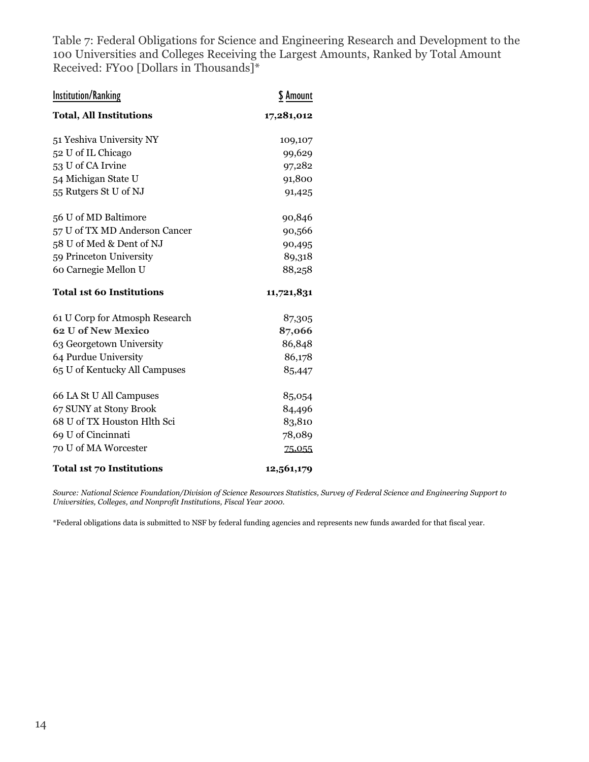Table 7: Federal Obligations for Science and Engineering Research and Development to the 100 Universities and Colleges Receiving the Largest Amounts, Ranked by Total Amount Received: FY00 [Dollars in Thousands]\*

| <b>Institution/Ranking</b>       | \$ Amount  |
|----------------------------------|------------|
| <b>Total, All Institutions</b>   | 17,281,012 |
| 51 Yeshiva University NY         | 109,107    |
| 52 U of IL Chicago               | 99,629     |
| 53 U of CA Irvine                | 97,282     |
| 54 Michigan State U              | 91,800     |
| 55 Rutgers St U of NJ            | 91,425     |
| 56 U of MD Baltimore             | 90,846     |
| 57 U of TX MD Anderson Cancer    | 90,566     |
| 58 U of Med & Dent of NJ         | 90,495     |
| 59 Princeton University          | 89,318     |
| 60 Carnegie Mellon U             | 88,258     |
| <b>Total 1st 60 Institutions</b> | 11,721,831 |
| 61 U Corp for Atmosph Research   | 87,305     |
| <b>62 U of New Mexico</b>        | 87,066     |
| 63 Georgetown University         | 86,848     |
| 64 Purdue University             | 86,178     |
| 65 U of Kentucky All Campuses    | 85,447     |
| 66 LA St U All Campuses          | 85,054     |
| 67 SUNY at Stony Brook           | 84,496     |
| 68 U of TX Houston Hlth Sci      | 83,810     |
| 69 U of Cincinnati               | 78,089     |
| 70 U of MA Worcester             | 75,055     |
| <b>Total 1st 70 Institutions</b> | 12,561,179 |

*Source: National Science Foundation/Division of Science Resources Statistics, Survey of Federal Science and Engineering Support to Universities, Colleges, and Nonprofit Institutions, Fiscal Year 2000.*

\*Federal obligations data is submitted to NSF by federal funding agencies and represents new funds awarded for that fiscal year.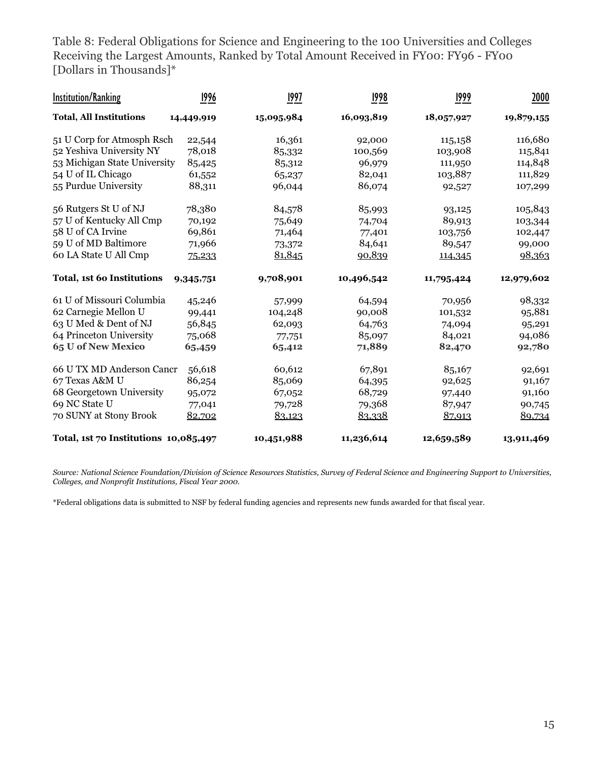Table 8: Federal Obligations for Science and Engineering to the 100 Universities and Colleges Receiving the Largest Amounts, Ranked by Total Amount Received in FY00: FY96 - FY00 [Dollars in Thousands]\*

| <b>Institution/Ranking</b>            | 1996       | 1997       | 1998       | 1999       | 2000       |
|---------------------------------------|------------|------------|------------|------------|------------|
| <b>Total, All Institutions</b>        | 14,449,919 | 15,095,984 | 16,093,819 | 18,057,927 | 19,879,155 |
| 51 U Corp for Atmosph Rsch            | 22,544     | 16,361     | 92,000     | 115,158    | 116,680    |
| 52 Yeshiva University NY              | 78,018     | 85,332     | 100,569    | 103,908    | 115,841    |
| 53 Michigan State University          | 85,425     | 85,312     | 96,979     | 111,950    | 114,848    |
| 54 U of IL Chicago                    | 61,552     | 65,237     | 82,041     | 103,887    | 111,829    |
| 55 Purdue University                  | 88,311     | 96,044     | 86,074     | 92,527     | 107,299    |
| 56 Rutgers St U of NJ                 | 78,380     | 84,578     | 85,993     | 93,125     | 105,843    |
| 57 U of Kentucky All Cmp              | 70,192     | 75,649     | 74,704     | 89,913     | 103,344    |
| 58 U of CA Irvine                     | 69,861     | 71,464     | 77,401     | 103,756    | 102,447    |
| 59 U of MD Baltimore                  | 71,966     | 73,372     | 84,641     | 89,547     | 99,000     |
| 60 LA State U All Cmp                 | 75,233     | 81,845     | 90,839     | 114,345    | 98,363     |
| Total, 1st 60 Institutions            | 9,345,751  | 9,708,901  | 10,496,542 | 11,795,424 | 12,979,602 |
| 61 U of Missouri Columbia             | 45,246     | 57,999     | 64,594     | 70,956     | 98,332     |
| 62 Carnegie Mellon U                  | 99,441     | 104,248    | 90,008     | 101,532    | 95,881     |
| 63 U Med & Dent of NJ                 | 56,845     | 62,093     | 64,763     | 74,094     | 95,291     |
| 64 Princeton University               | 75,068     | 77,751     | 85,097     | 84,021     | 94,086     |
| 65 U of New Mexico                    | 65,459     | 65,412     | 71,889     | 82,470     | 92,780     |
| 66 U TX MD Anderson Cancr             | 56,618     | 60,612     | 67,891     | 85,167     | 92,691     |
| 67 Texas A&M U                        | 86,254     | 85,069     | 64,395     | 92,625     | 91,167     |
| 68 Georgetown University              | 95,072     | 67,052     | 68,729     | 97,440     | 91,160     |
| 69 NC State U                         | 77,041     | 79,728     | 79,368     | 87,947     | 90,745     |
| 70 SUNY at Stony Brook                | 82,702     | 83,123     | 83,338     | 87,913     | 89,734     |
| Total, 1st 70 Institutions 10,085,497 |            | 10,451,988 | 11,236,614 | 12,659,589 | 13,911,469 |

*Source: National Science Foundation/Division of Science Resources Statistics, Survey of Federal Science and Engineering Support to Universities, Colleges, and Nonprofit Institutions, Fiscal Year 2000.*

\*Federal obligations data is submitted to NSF by federal funding agencies and represents new funds awarded for that fiscal year.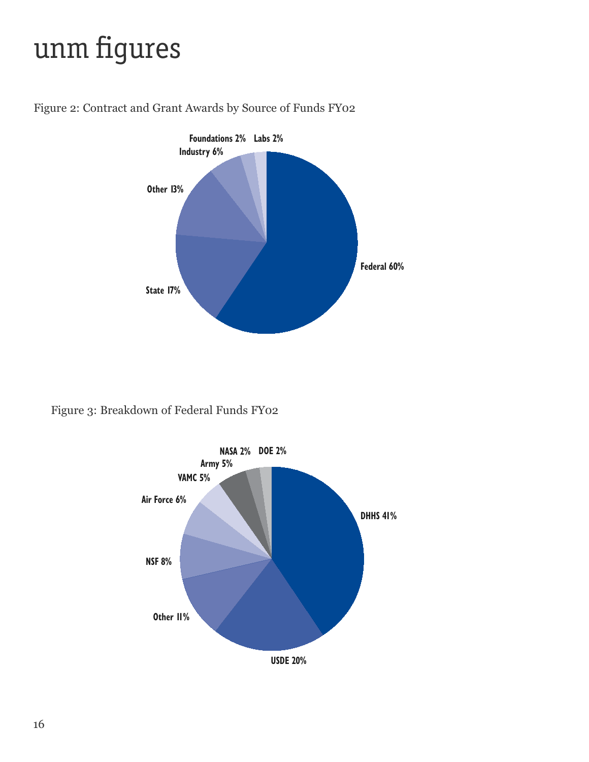## unm figures



Figure 2: Contract and Grant Awards by Source of Funds FY02

Figure 3: Breakdown of Federal Funds FY02

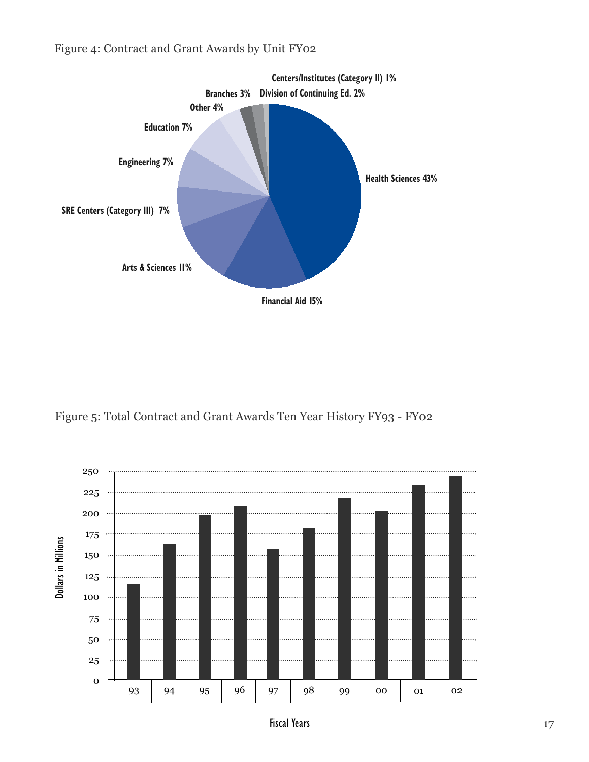

Figure 4: Contract and Grant Awards by Unit FY02

Figure 5: Total Contract and Grant Awards Ten Year History FY93 - FY02

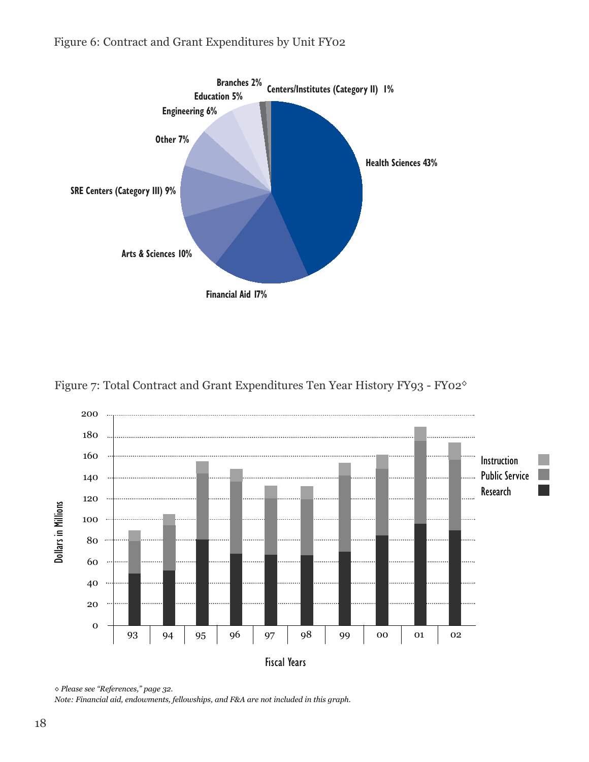#### Figure 6: Contract and Grant Expenditures by Unit FY02



Figure 7: Total Contract and Grant Expenditures Ten Year History FY93 - FY02◊



*◊ Please see "References," page 32.*

*Note: Financial aid, endowments, fellowships, and F&A are not included in this graph.*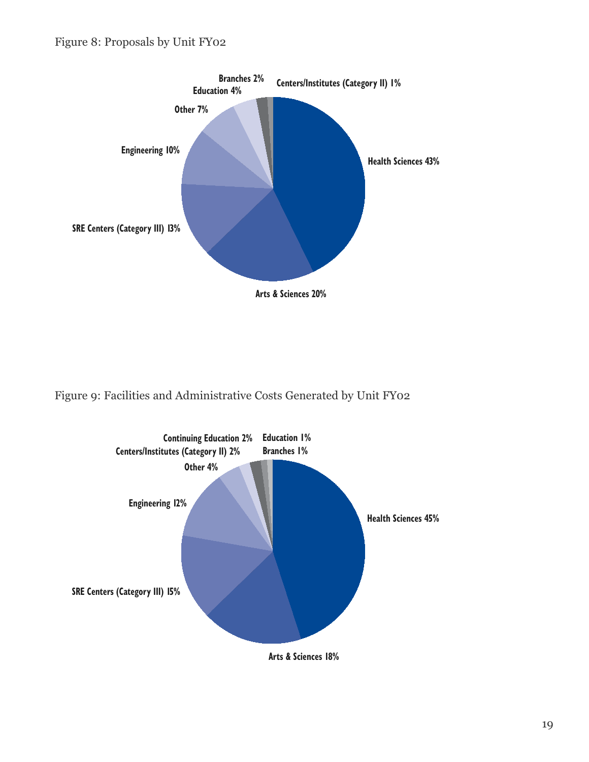#### Figure 8: Proposals by Unit FY02



Figure 9: Facilities and Administrative Costs Generated by Unit FY02



**Arts & Sciences 18%**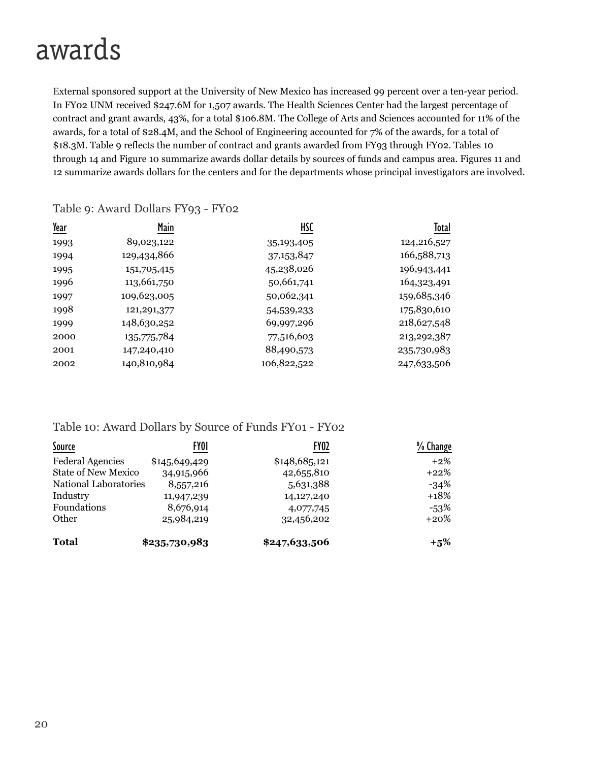### awards

External sponsored support at the University of New Mexico has increased 99 percent over a ten-year period. In FY02 UNM received \$247.6M for 1,507 awards. The Health Sciences Center had the largest percentage of contract and grant awards, 43%, for a total \$106.8M. The College of Arts and Sciences accounted for 11% of the awards, for a total of \$28.4M, and the School of Engineering accounted for 7% of the awards, for a total of \$18.3M. Table 9 reflects the number of contract and grants awarded from FY93 through FY02. Tables 10 through 14 and Figure 10 summarize awards dollar details by sources of funds and campus area. Figures 11 and 12 summarize awards dollars for the centers and for the departments whose principal investigators are involved.

| <u>Year</u> | Main          | HSC          | Total         |
|-------------|---------------|--------------|---------------|
| 1993        | 89,023,122    | 35, 193, 405 | 124,216,527   |
| 1994        | 129,434,866   | 37, 153, 847 | 166,588,713   |
| 1995        | 151,705,415   | 45,238,026   | 196,943,441   |
| 1996        | 113,661,750   | 50,661,741   | 164,323,491   |
| 1997        | 109,623,005   | 50,062,341   | 159,685,346   |
| 1998        | 121, 291, 377 | 54,539,233   | 175,830,610   |
| 1999        | 148,630,252   | 69,997,296   | 218,627,548   |
| 2000        | 135,775,784   | 77,516,603   | 213, 292, 387 |
| 2001        | 147,240,410   | 88,490,573   | 235,730,983   |
| 2002        | 140,810,984   | 106,822,522  | 247,633,506   |

#### Table 9: Award Dollars FY93 - FY02

#### Table 10: Award Dollars by Source of Funds FY01 - FY02

| <b>Source</b>              | FY01          | FY <sub>02</sub>  | % Change |
|----------------------------|---------------|-------------------|----------|
| <b>Federal Agencies</b>    | \$145,649,429 | \$148,685,121     | $+2\%$   |
| <b>State of New Mexico</b> | 34,915,966    | 42,655,810        | $+22%$   |
| National Laboratories      | 8,557,216     | 5,631,388         | $-34%$   |
| Industry                   | 11,947,239    | 14,127,240        | $+18%$   |
| Foundations                | 8,676,914     | 4,077,745         | $-53%$   |
| Other                      | 25,984,219    | <u>32,456,202</u> | $+20%$   |
| <b>Total</b>               | \$235,730,983 | \$247,633,506     | $+5\%$   |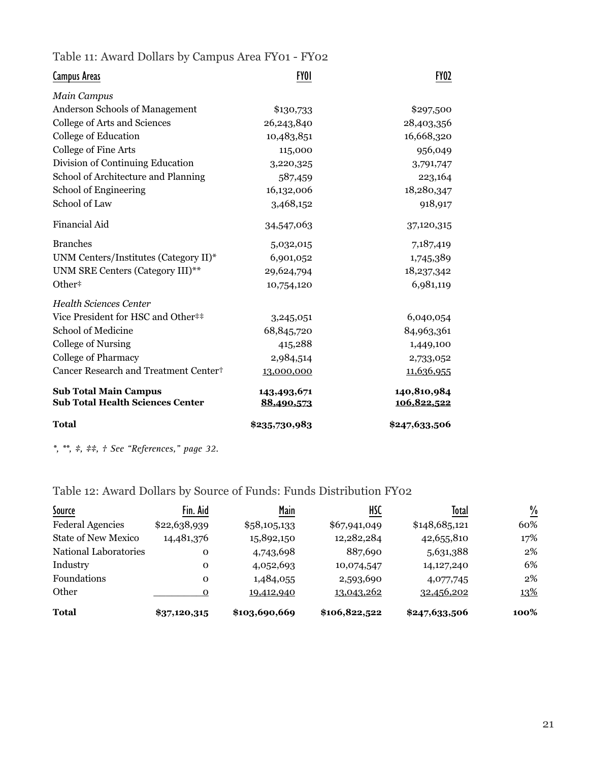Table 11: Award Dollars by Campus Area FY01 - FY02

| Campus Areas                                                            | FY01                      | <b>FY02</b>                |
|-------------------------------------------------------------------------|---------------------------|----------------------------|
| <b>Main Campus</b>                                                      |                           |                            |
| Anderson Schools of Management                                          | \$130,733                 | \$297,500                  |
| College of Arts and Sciences                                            | 26,243,840                | 28,403,356                 |
| College of Education                                                    | 10,483,851                | 16,668,320                 |
| College of Fine Arts                                                    | 115,000                   | 956,049                    |
| Division of Continuing Education                                        | 3,220,325                 | 3,791,747                  |
| School of Architecture and Planning                                     | 587,459                   | 223,164                    |
| School of Engineering                                                   | 16,132,006                | 18,280,347                 |
| School of Law                                                           | 3,468,152                 | 918,917                    |
| <b>Financial Aid</b>                                                    | 34,547,063                | 37,120,315                 |
| <b>Branches</b>                                                         | 5,032,015                 | 7,187,419                  |
| UNM Centers/Institutes (Category II)*                                   | 6,901,052                 | 1,745,389                  |
| UNM SRE Centers (Category III)**                                        | 29,624,794                | 18,237,342                 |
| Other#                                                                  | 10,754,120                | 6,981,119                  |
| <b>Health Sciences Center</b>                                           |                           |                            |
| Vice President for HSC and Other##                                      | 3,245,051                 | 6,040,054                  |
| School of Medicine                                                      | 68,845,720                | 84,963,361                 |
| <b>College of Nursing</b>                                               | 415,288                   | 1,449,100                  |
| <b>College of Pharmacy</b>                                              | 2,984,514                 | 2,733,052                  |
| Cancer Research and Treatment Center <sup>+</sup>                       | 13,000,000                | 11,636,955                 |
| <b>Sub Total Main Campus</b><br><b>Sub Total Health Sciences Center</b> | 143,493,671<br>88,490,573 | 140,810,984<br>106,822,522 |
| <b>Total</b>                                                            | \$235,730,983             | \$247,633,506              |

*\*, \*\*, ‡, ‡‡, † See "References," page 32.*

Table 12: Award Dollars by Source of Funds: Funds Distribution FY02

| Source                     | Fin. Aid     | Main          | HSC           | Total         | $\frac{\%}{\sqrt{2}}$ |
|----------------------------|--------------|---------------|---------------|---------------|-----------------------|
| <b>Federal Agencies</b>    | \$22,638,939 | \$58,105,133  | \$67,941,049  | \$148,685,121 | 60%                   |
| <b>State of New Mexico</b> | 14,481,376   | 15,892,150    | 12,282,284    | 42,655,810    | 17%                   |
| National Laboratories      | 0            | 4,743,698     | 887,690       | 5,631,388     | $2\%$                 |
| Industry                   | $\Omega$     | 4,052,693     | 10,074,547    | 14,127,240    | 6%                    |
| <b>Foundations</b>         | $\Omega$     | 1,484,055     | 2,593,690     | 4,077,745     | $2\%$                 |
| Other                      | $\Omega$     | 19,412,940    | 13,043,262    | 32,456,202    | 13%                   |
| <b>Total</b>               | \$37,120,315 | \$103,690,669 | \$106,822,522 | \$247,633,506 | 100%                  |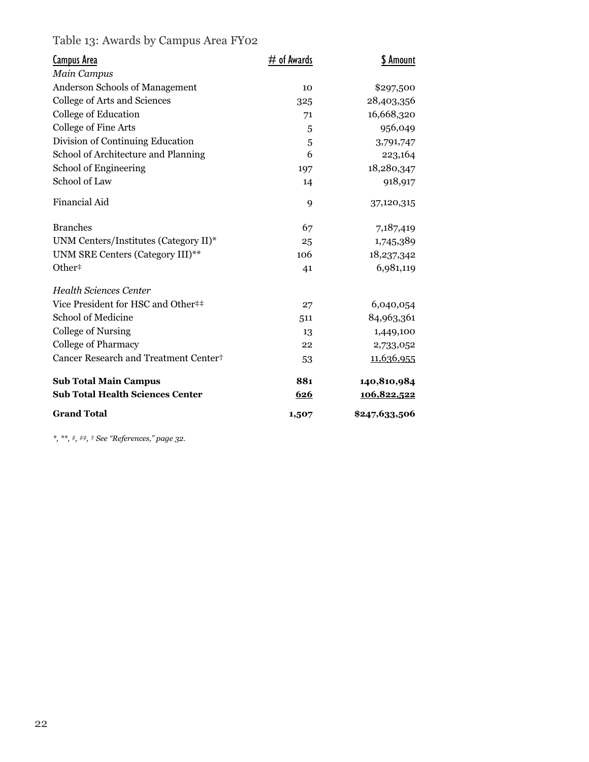#### Table 13: Awards by Campus Area FY02

| Campus Area                                       | # of Awards | \$ Amount     |
|---------------------------------------------------|-------------|---------------|
| Main Campus                                       |             |               |
| Anderson Schools of Management                    | 10          | \$297,500     |
| College of Arts and Sciences                      | 325         | 28,403,356    |
| College of Education                              | 71          | 16,668,320    |
| College of Fine Arts                              | 5           | 956,049       |
| Division of Continuing Education                  | 5           | 3,791,747     |
| School of Architecture and Planning               | 6           | 223,164       |
| School of Engineering                             | 197         | 18,280,347    |
| School of Law                                     | 14          | 918,917       |
| <b>Financial Aid</b>                              | 9           | 37,120,315    |
| <b>Branches</b>                                   | 67          | 7,187,419     |
| UNM Centers/Institutes (Category II)*             | 25          | 1,745,389     |
| UNM SRE Centers (Category III)**                  | 106         | 18,237,342    |
| Other#                                            | 41          | 6,981,119     |
| <b>Health Sciences Center</b>                     |             |               |
| Vice President for HSC and Other##                | 27          | 6,040,054     |
| School of Medicine                                | 511         | 84,963,361    |
| College of Nursing                                | 13          | 1,449,100     |
| <b>College of Pharmacy</b>                        | 22          | 2,733,052     |
| Cancer Research and Treatment Center <sup>+</sup> | 53          | 11,636,955    |
| <b>Sub Total Main Campus</b>                      | 881         | 140,810,984   |
| <b>Sub Total Health Sciences Center</b>           | 626         | 106,822,522   |
| <b>Grand Total</b>                                | 1,507       | \$247,633,506 |

*\*, \*\*, ‡, ‡‡, † See "References," page 32.*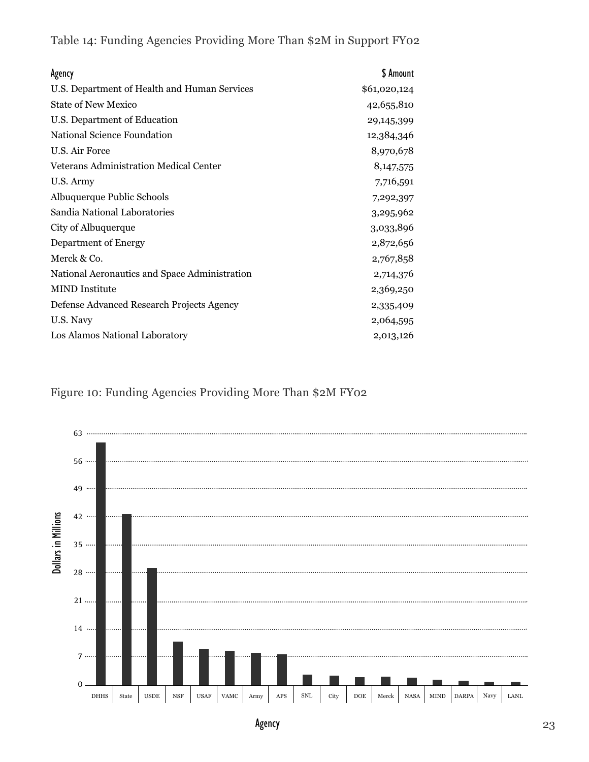Table 14: Funding Agencies Providing More Than \$2M in Support FY02

| <b>Agency</b>                                 | \$ Amount    |
|-----------------------------------------------|--------------|
| U.S. Department of Health and Human Services  | \$61,020,124 |
| <b>State of New Mexico</b>                    | 42,655,810   |
| U.S. Department of Education                  | 29,145,399   |
| National Science Foundation                   | 12,384,346   |
| U.S. Air Force                                | 8,970,678    |
| <b>Veterans Administration Medical Center</b> | 8, 147, 575  |
| U.S. Army                                     | 7,716,591    |
| Albuquerque Public Schools                    | 7,292,397    |
| Sandia National Laboratories                  | 3,295,962    |
| City of Albuquerque                           | 3,033,896    |
| Department of Energy                          | 2,872,656    |
| Merck & Co.                                   | 2,767,858    |
| National Aeronautics and Space Administration | 2,714,376    |
| <b>MIND</b> Institute                         | 2,369,250    |
| Defense Advanced Research Projects Agency     | 2,335,409    |
| U.S. Navy                                     | 2,064,595    |
| Los Alamos National Laboratory                | 2,013,126    |

#### Figure 10: Funding Agencies Providing More Than \$2M FY02



Agency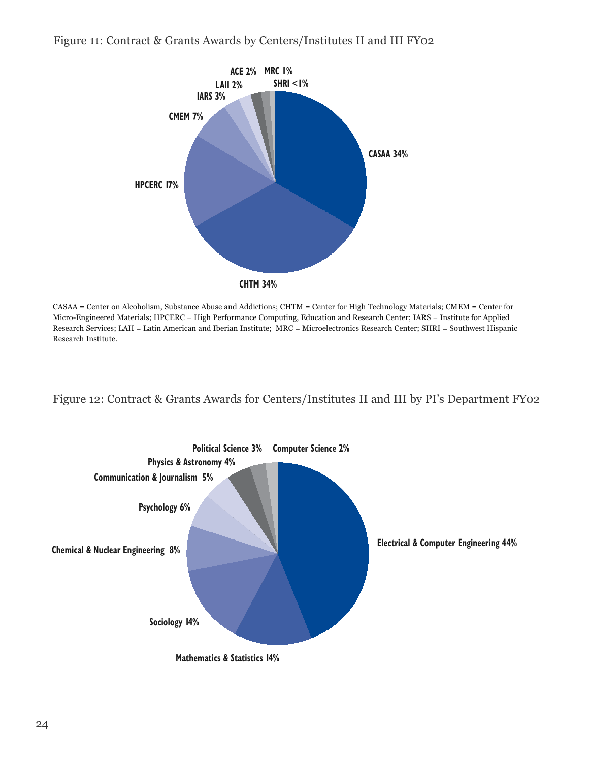#### Figure 11: Contract & Grants Awards by Centers/Institutes II and III FY02



CASAA = Center on Alcoholism, Substance Abuse and Addictions; CHTM = Center for High Technology Materials; CMEM = Center for Micro-Engineered Materials; HPCERC = High Performance Computing, Education and Research Center; IARS = Institute for Applied Research Services; LAII = Latin American and Iberian Institute; MRC = Microelectronics Research Center; SHRI = Southwest Hispanic Research Institute.

#### Figure 12: Contract & Grants Awards for Centers/Institutes II and III by PI's Department FY02

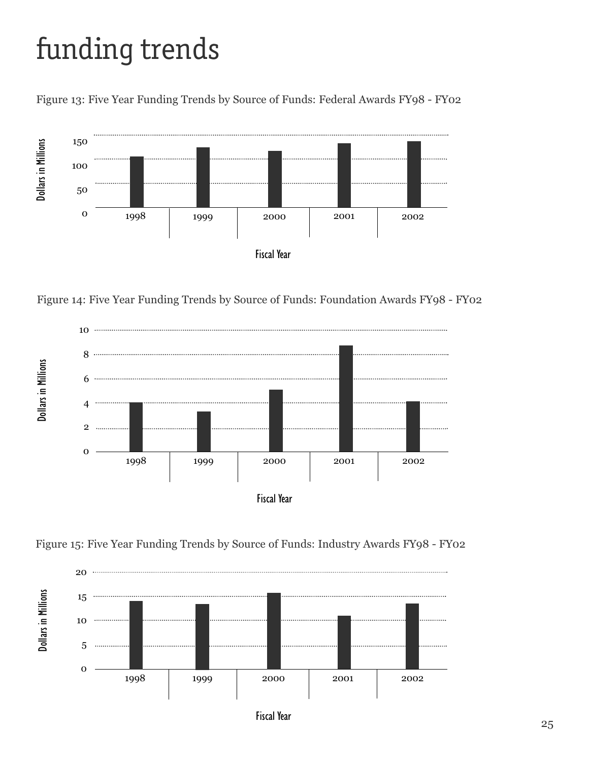# funding trends

Figure 13: Five Year Funding Trends by Source of Funds: Federal Awards FY98 - FY02



Figure 14: Five Year Funding Trends by Source of Funds: Foundation Awards FY98 - FY02







Fiscal Year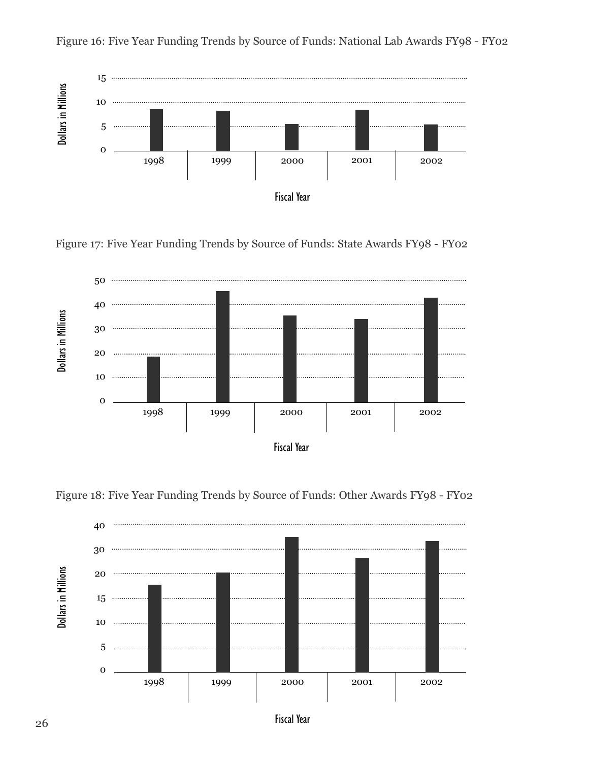

Figure 16: Five Year Funding Trends by Source of Funds: National Lab Awards FY98 - FY02

Figure 17: Five Year Funding Trends by Source of Funds: State Awards FY98 - FY02





Figure 18: Five Year Funding Trends by Source of Funds: Other Awards FY98 - FY02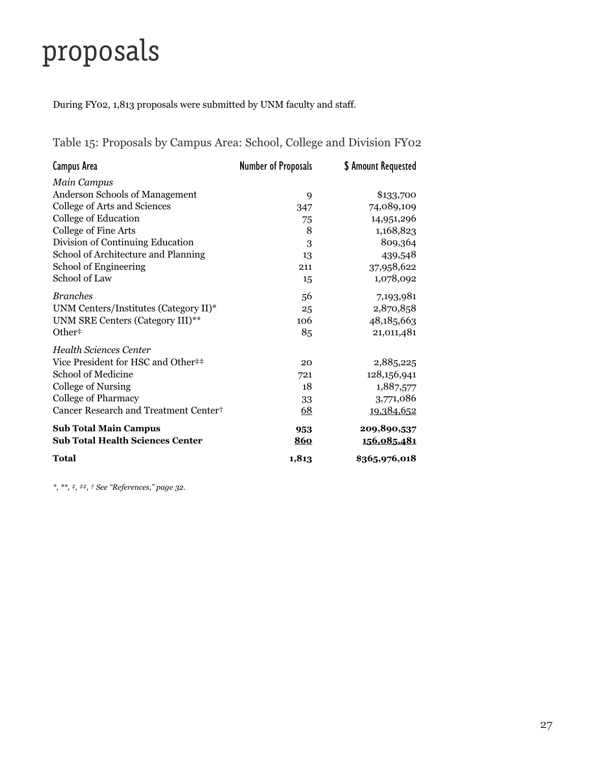## proposals

During FY02, 1,813 proposals were submitted by UNM faculty and staff.

| Campus Area                                       | <b>Number of Proposals</b> | \$ Amount Requested |
|---------------------------------------------------|----------------------------|---------------------|
| Main Campus                                       |                            |                     |
| <b>Anderson Schools of Management</b>             | 9                          | \$133,700           |
| College of Arts and Sciences                      | 347                        | 74,089,109          |
| College of Education                              | 75                         | 14,951,296          |
| College of Fine Arts                              | 8                          | 1,168,823           |
| Division of Continuing Education                  | 3                          | 809,364             |
| School of Architecture and Planning               | 13                         | 439,548             |
| School of Engineering                             | 211                        | 37,958,622          |
| School of Law                                     | 15                         | 1,078,092           |
| <b>Branches</b>                                   | 56                         | 7,193,981           |
| UNM Centers/Institutes (Category II)*             | 25                         | 2,870,858           |
| UNM SRE Centers (Category III)**                  | 106                        | 48,185,663          |
| Other <sup>#</sup>                                | 85                         | 21,011,481          |
| <b>Health Sciences Center</b>                     |                            |                     |
| Vice President for HSC and Other##                | 20                         | 2,885,225           |
| School of Medicine                                | 721                        | 128,156,941         |
| College of Nursing                                | 18                         | 1,887,577           |
| College of Pharmacy                               | 33                         | 3,771,086           |
| Cancer Research and Treatment Center <sup>+</sup> | 68                         | 19,384,652          |
| <b>Sub Total Main Campus</b>                      | 953                        | 209,890,537         |
| <b>Sub Total Health Sciences Center</b>           | 860                        | 156,085,481         |
| Total                                             | 1,813                      | \$365,976,018       |

Table 15: Proposals by Campus Area: School, College and Division FY02

*\*, \*\*, ‡, ‡‡, † See "References," page 32.*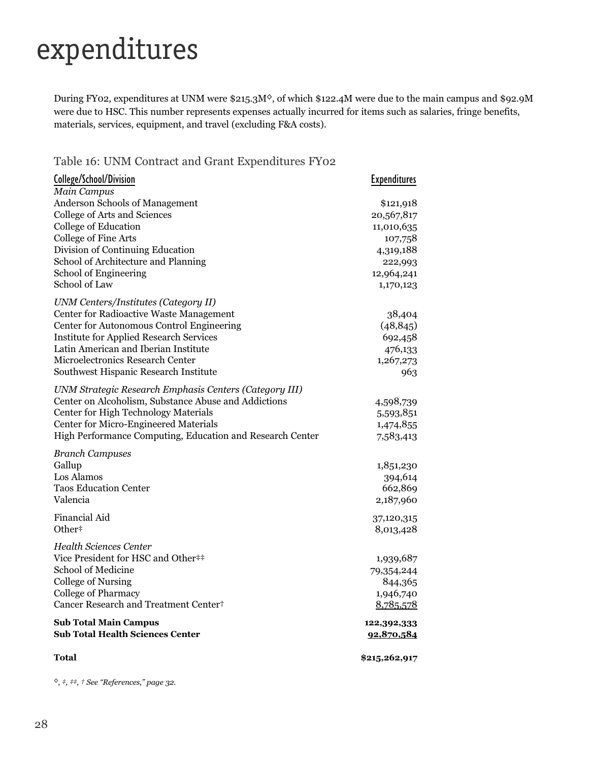### expenditures

During FY02, expenditures at UNM were \$215.3M<sup>\o</sup>, of which \$122.4M were due to the main campus and \$92.9M were due to HSC. This number represents expenses actually incurred for items such as salaries, fringe benefits, materials, services, equipment, and travel (excluding F&A costs).

Table 16: UNM Contract and Grant Expenditures FY02

| College/School/Division                                      | <b>Expenditures</b> |
|--------------------------------------------------------------|---------------------|
| <b>Main Campus</b>                                           |                     |
| Anderson Schools of Management                               | \$121,918           |
| College of Arts and Sciences                                 | 20,567,817          |
| College of Education                                         | 11,010,635          |
| College of Fine Arts                                         | 107,758             |
| Division of Continuing Education                             | 4,319,188           |
| School of Architecture and Planning                          | 222,993             |
| School of Engineering                                        | 12,964,241          |
| School of Law                                                | 1,170,123           |
| <b>UNM Centers/Institutes (Category II)</b>                  |                     |
| Center for Radioactive Waste Management                      | 38,404              |
| Center for Autonomous Control Engineering                    | (48, 845)           |
| <b>Institute for Applied Research Services</b>               | 692,458             |
| Latin American and Iberian Institute                         | 476,133             |
| Microelectronics Research Center                             | 1,267,273           |
| Southwest Hispanic Research Institute                        | 963                 |
| UNM Strategic Research Emphasis Centers (Category III)       |                     |
| Center on Alcoholism, Substance Abuse and Addictions         | 4,598,739           |
| Center for High Technology Materials                         | 5,593,851           |
| Center for Micro-Engineered Materials                        | 1,474,855           |
| High Performance Computing, Education and Research Center    | 7,583,413           |
| <b>Branch Campuses</b>                                       |                     |
| Gallup                                                       | 1,851,230           |
| Los Alamos                                                   | 394,614             |
| <b>Taos Education Center</b>                                 | 662,869             |
| Valencia                                                     | 2,187,960           |
| Financial Aid                                                | 37,120,315          |
| Other <sup>#</sup>                                           | 8,013,428           |
|                                                              |                     |
| Health Sciences Center<br>Vice President for HSC and Other## |                     |
| School of Medicine                                           | 1,939,687           |
|                                                              | 79,354,244          |
| College of Nursing                                           | 844,365             |
| <b>College of Pharmacy</b>                                   | 1,946,740           |
| Cancer Research and Treatment Center <sup>+</sup>            | 8,785,578           |
| <b>Sub Total Main Campus</b>                                 | 122,392,333         |
| <b>Sub Total Health Sciences Center</b>                      | 92,870,584          |
| Total                                                        | \$215,262,917       |
|                                                              |                     |

*◊, ‡, ‡‡, † See "References," page 32.*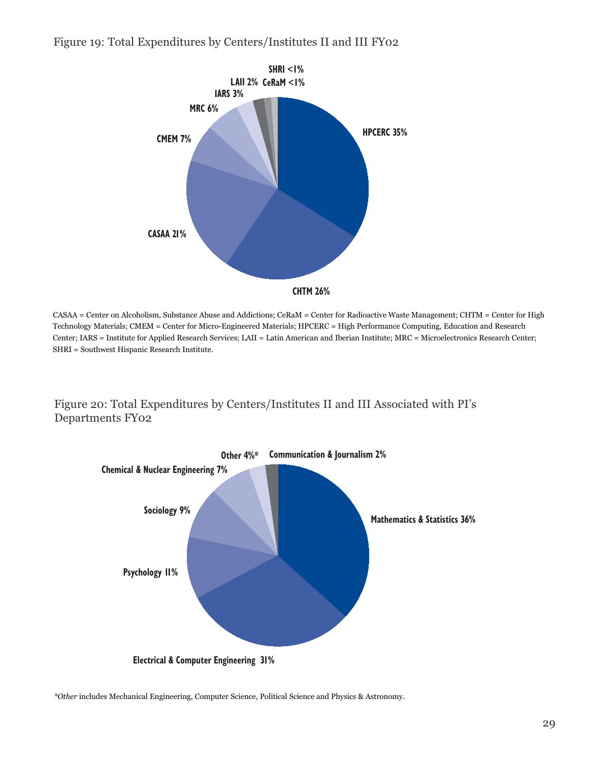Figure 19: Total Expenditures by Centers/Institutes II and III FY02



CASAA = Center on Alcoholism, Substance Abuse and Addictions; CeRaM = Center for Radioactive Waste Management; CHTM = Center for High Technology Materials; CMEM = Center for Micro-Engineered Materials; HPCERC = High Performance Computing, Education and Research Center; IARS = Institute for Applied Research Services; LAII = Latin American and Iberian Institute; MRC = Microelectronics Research Center; SHRI = Southwest Hispanic Research Institute.

Figure 20: Total Expenditures by Centers/Institutes II and III Associated with PI's Departments FY02



*\*Other* includes Mechanical Engineering, Computer Science, Political Science and Physics & Astronomy.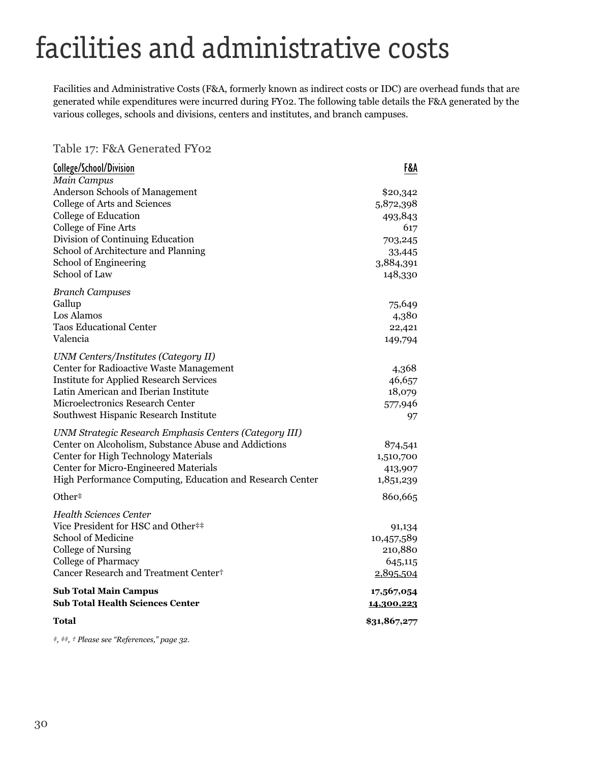## facilities and administrative costs

Facilities and Administrative Costs (F&A, formerly known as indirect costs or IDC) are overhead funds that are generated while expenditures were incurred during FY02. The following table details the F&A generated by the various colleges, schools and divisions, centers and institutes, and branch campuses.

Table 17: F&A Generated FY02

| College/School/Division                                   | F&A          |
|-----------------------------------------------------------|--------------|
| Main Campus                                               |              |
| Anderson Schools of Management                            | \$20,342     |
| College of Arts and Sciences                              | 5,872,398    |
| College of Education                                      | 493,843      |
| College of Fine Arts                                      | 617          |
| Division of Continuing Education                          | 703,245      |
| School of Architecture and Planning                       | 33,445       |
| School of Engineering                                     | 3,884,391    |
| School of Law                                             | 148,330      |
| <b>Branch Campuses</b>                                    |              |
| Gallup                                                    | 75,649       |
| Los Alamos                                                | 4,380        |
| <b>Taos Educational Center</b>                            | 22,421       |
| Valencia                                                  | 149,794      |
| <b>UNM Centers/Institutes (Category II)</b>               |              |
| Center for Radioactive Waste Management                   | 4,368        |
| <b>Institute for Applied Research Services</b>            | 46,657       |
| Latin American and Iberian Institute                      | 18,079       |
| Microelectronics Research Center                          | 577,946      |
| Southwest Hispanic Research Institute                     | 97           |
| UNM Strategic Research Emphasis Centers (Category III)    |              |
| Center on Alcoholism, Substance Abuse and Addictions      | 874,541      |
| Center for High Technology Materials                      | 1,510,700    |
| Center for Micro-Engineered Materials                     | 413,907      |
| High Performance Computing, Education and Research Center | 1,851,239    |
| Other#                                                    | 860,665      |
| <b>Health Sciences Center</b>                             |              |
| Vice President for HSC and Other##                        | 91,134       |
| School of Medicine                                        | 10,457,589   |
| College of Nursing                                        | 210,880      |
| <b>College of Pharmacy</b>                                | 645,115      |
| Cancer Research and Treatment Center <sup>+</sup>         | 2,895,504    |
| <b>Sub Total Main Campus</b>                              | 17,567,054   |
| <b>Sub Total Health Sciences Center</b>                   | 14,300,223   |
| Total                                                     | \$31,867,277 |

*‡, ‡‡, † Please see "References," page 32.*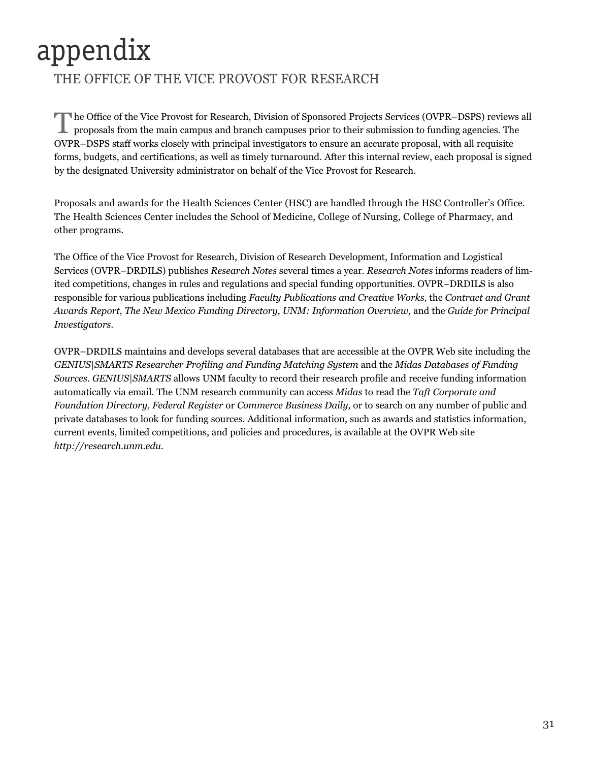## appendix

#### THE OFFICE OF THE VICE PROVOST FOR RESEARCH

The Office of the Vice Provost for Research, Division of Sponsored Projects Services (OVPR–DSPS) reviews all proposals from the main campus and branch campuses prior to their submission to funding agencies. The OVPR–DSPS staff works closely with principal investigators to ensure an accurate proposal, with all requisite forms, budgets, and certifications, as well as timely turnaround. After this internal review, each proposal is signed by the designated University administrator on behalf of the Vice Provost for Research.

Proposals and awards for the Health Sciences Center (HSC) are handled through the HSC Controller's Office. The Health Sciences Center includes the School of Medicine, College of Nursing, College of Pharmacy, and other programs.

The Office of the Vice Provost for Research, Division of Research Development, Information and Logistical Services (OVPR–DRDILS) publishes *Research Notes* several times a year. *Research Notes* informs readers of limited competitions, changes in rules and regulations and special funding opportunities. OVPR–DRDILS is also responsible for various publications including *Faculty Publications and Creative Works,* the *Contract and Grant Awards Report*, *The New Mexico Funding Directory, UNM: Information Overview,* and the *Guide for Principal Investigators*.

OVPR–DRDILS maintains and develops several databases that are accessible at the OVPR Web site including the *GENIUS|SMARTS Researcher Profiling and Funding Matching System* and the *Midas Databases of Funding Sources*. *GENIUS|SMARTS* allows UNM faculty to record their research profile and receive funding information automatically via email. The UNM research community can access *Midas* to read the *Taft Corporate and Foundation Directory, Federal Register* or *Commerce Business Daily,* or to search on any number of public and private databases to look for funding sources. Additional information, such as awards and statistics information, current events, limited competitions, and policies and procedures, is available at the OVPR Web site *http://research.unm.edu*.